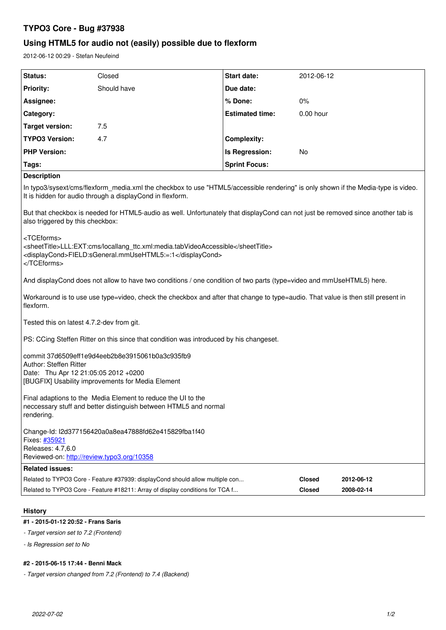# **TYPO3 Core - Bug #37938**

# **Using HTML5 for audio not (easily) possible due to flexform**

2012-06-12 00:29 - Stefan Neufeind

| Status:                                                                                                                                                                                        | Closed                                                                        | Start date:            | 2012-06-12    |            |
|------------------------------------------------------------------------------------------------------------------------------------------------------------------------------------------------|-------------------------------------------------------------------------------|------------------------|---------------|------------|
| <b>Priority:</b>                                                                                                                                                                               | Should have                                                                   | Due date:              |               |            |
| Assignee:                                                                                                                                                                                      |                                                                               | % Done:                | 0%            |            |
| Category:                                                                                                                                                                                      |                                                                               | <b>Estimated time:</b> | 0.00 hour     |            |
| <b>Target version:</b>                                                                                                                                                                         | 7.5                                                                           |                        |               |            |
| <b>TYPO3 Version:</b>                                                                                                                                                                          | 4.7                                                                           | <b>Complexity:</b>     |               |            |
| <b>PHP Version:</b>                                                                                                                                                                            |                                                                               | Is Regression:         | No            |            |
| Tags:                                                                                                                                                                                          |                                                                               | <b>Sprint Focus:</b>   |               |            |
| <b>Description</b>                                                                                                                                                                             |                                                                               |                        |               |            |
| In typo3/sysext/cms/flexform_media.xml the checkbox to use "HTML5/accessible rendering" is only shown if the Media-type is video.<br>It is hidden for audio through a displayCond in flexform. |                                                                               |                        |               |            |
| But that checkbox is needed for HTML5-audio as well. Unfortunately that displayCond can not just be removed since another tab is<br>also triggered by this checkbox:                           |                                                                               |                        |               |            |
| <tceforms><br/><sheettitle>LLL:EXT:cms/locallang_ttc.xml:media.tabVideoAccessible</sheettitle><br/><displaycond>FIELD:sGeneral.mmUseHTML5:=:1</displaycond><br/></tceforms>                    |                                                                               |                        |               |            |
| And displayCond does not allow to have two conditions / one condition of two parts (type=video and mmUseHTML5) here.                                                                           |                                                                               |                        |               |            |
| Workaround is to use use type=video, check the checkbox and after that change to type=audio. That value is then still present in<br>flexform.                                                  |                                                                               |                        |               |            |
| Tested this on latest 4.7.2-dev from git.                                                                                                                                                      |                                                                               |                        |               |            |
| PS: CCing Steffen Ritter on this since that condition was introduced by his changeset.                                                                                                         |                                                                               |                        |               |            |
| commit 37d6509eff1e9d4eeb2b8e3915061b0a3c935fb9<br>Author: Steffen Ritter<br>Date: Thu Apr 12 21:05:05 2012 +0200<br>[BUGFIX] Usability improvements for Media Element                         |                                                                               |                        |               |            |
| Final adaptions to the Media Element to reduce the UI to the<br>neccessary stuff and better distinguish between HTML5 and normal<br>rendering.                                                 |                                                                               |                        |               |            |
| Change-Id: I2d377156420a0a8ea47888fd62e415829fba1f40<br>Fixes: #35921<br>Releases: 4.7,6.0<br>Reviewed-on: http://review.typo3.org/10358                                                       |                                                                               |                        |               |            |
| <b>Related issues:</b>                                                                                                                                                                         |                                                                               |                        |               |            |
|                                                                                                                                                                                                | Related to TYPO3 Core - Feature #37939: displayCond should allow multiple con |                        | <b>Closed</b> | 2012-06-12 |
|                                                                                                                                                                                                | Related to TYPO3 Core - Feature #18211: Array of display conditions for TCA f |                        | Closed        | 2008-02-14 |

## **History**

# **#1 - 2015-01-12 20:52 - Frans Saris**

- *Target version set to 7.2 (Frontend)*
- *Is Regression set to No*

# **#2 - 2015-06-15 17:44 - Benni Mack**

*- Target version changed from 7.2 (Frontend) to 7.4 (Backend)*